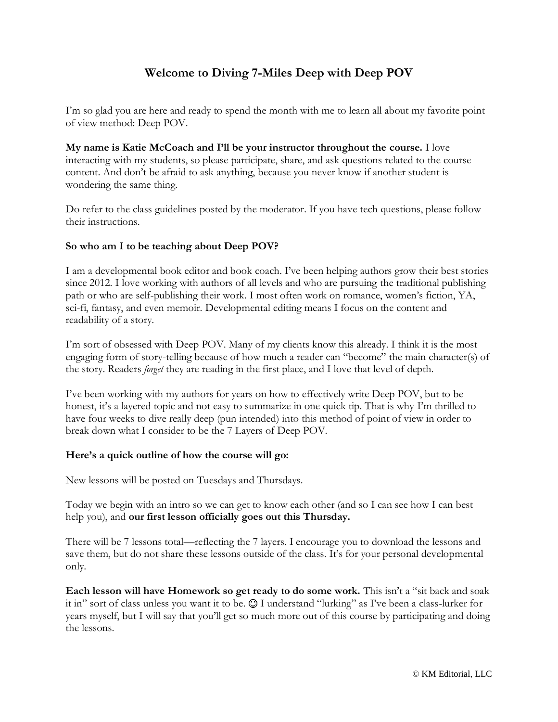# **Welcome to Diving 7-Miles Deep with Deep POV**

I'm so glad you are here and ready to spend the month with me to learn all about my favorite point of view method: Deep POV.

**My name is Katie McCoach and I'll be your instructor throughout the course.** I love interacting with my students, so please participate, share, and ask questions related to the course content. And don't be afraid to ask anything, because you never know if another student is wondering the same thing.

Do refer to the class guidelines posted by the moderator. If you have tech questions, please follow their instructions.

## **So who am I to be teaching about Deep POV?**

I am a developmental book editor and book coach. I've been helping authors grow their best stories since 2012. I love working with authors of all levels and who are pursuing the traditional publishing path or who are self-publishing their work. I most often work on romance, women's fiction, YA, sci-fi, fantasy, and even memoir. Developmental editing means I focus on the content and readability of a story.

I'm sort of obsessed with Deep POV. Many of my clients know this already. I think it is the most engaging form of story-telling because of how much a reader can "become" the main character(s) of the story. Readers *forget* they are reading in the first place, and I love that level of depth.

I've been working with my authors for years on how to effectively write Deep POV, but to be honest, it's a layered topic and not easy to summarize in one quick tip. That is why I'm thrilled to have four weeks to dive really deep (pun intended) into this method of point of view in order to break down what I consider to be the 7 Layers of Deep POV.

#### **Here's a quick outline of how the course will go:**

New lessons will be posted on Tuesdays and Thursdays.

Today we begin with an intro so we can get to know each other (and so I can see how I can best help you), and **our first lesson officially goes out this Thursday.**

There will be 7 lessons total—reflecting the 7 layers. I encourage you to download the lessons and save them, but do not share these lessons outside of the class. It's for your personal developmental only.

**Each lesson will have Homework so get ready to do some work.** This isn't a "sit back and soak it in" sort of class unless you want it to be.  $\odot$  I understand "lurking" as I've been a class-lurker for years myself, but I will say that you'll get so much more out of this course by participating and doing the lessons.